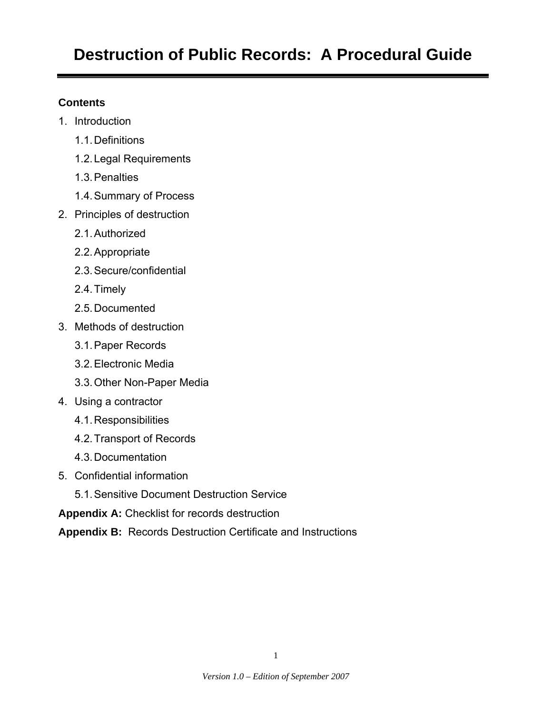# **Destruction of Public Records: A Procedural Guide**

# **Contents**

- 1. Introduction
	- 1.1. Definitions
	- 1.2. Legal Requirements
	- 1.3. Penalties
	- 1.4. Summary of Process
- 2. Principles of destruction
	- 2.1. Authorized
	- 2.2. Appropriate
	- 2.3. Secure/confidential
	- 2.4. Timely
	- 2.5. Documented
- 3. Methods of destruction
	- 3.1. Paper Records
	- 3.2. Electronic Media
	- 3.3. Other Non-Paper Media
- 4. Using a contractor
	- 4.1. Responsibilities
	- 4.2. Transport of Records
	- 4.3. Documentation
- 5. Confidential information
	- 5.1. Sensitive Document Destruction Service
- **Appendix A:** Checklist for records destruction
- **Appendix B:** Records Destruction Certificate and Instructions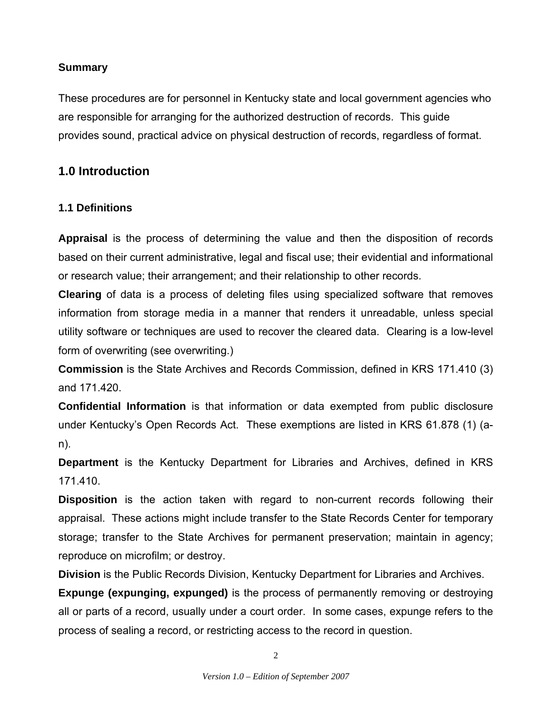# **Summary**

These procedures are for personnel in Kentucky state and local government agencies who are responsible for arranging for the authorized destruction of records. This guide provides sound, practical advice on physical destruction of records, regardless of format.

# **1.0 Introduction**

# **1.1 Definitions**

**Appraisal** is the process of determining the value and then the disposition of records based on their current administrative, legal and fiscal use; their evidential and informational or research value; their arrangement; and their relationship to other records.

**Clearing** of data is a process of deleting files using specialized software that removes information from storage media in a manner that renders it unreadable, unless special utility software or techniques are used to recover the cleared data. Clearing is a low-level form of overwriting (see overwriting.)

**Commission** is the State Archives and Records Commission, defined in KRS 171.410 (3) and 171.420.

**Confidential Information** is that information or data exempted from public disclosure under Kentucky's Open Records Act. These exemptions are listed in KRS 61.878 (1) (an).

**Department** is the Kentucky Department for Libraries and Archives, defined in KRS 171.410.

**Disposition** is the action taken with regard to non-current records following their appraisal. These actions might include transfer to the State Records Center for temporary storage; transfer to the State Archives for permanent preservation; maintain in agency; reproduce on microfilm; or destroy.

**Division** is the Public Records Division, Kentucky Department for Libraries and Archives.

**Expunge (expunging, expunged)** is the process of permanently removing or destroying all or parts of a record, usually under a court order. In some cases, expunge refers to the process of sealing a record, or restricting access to the record in question.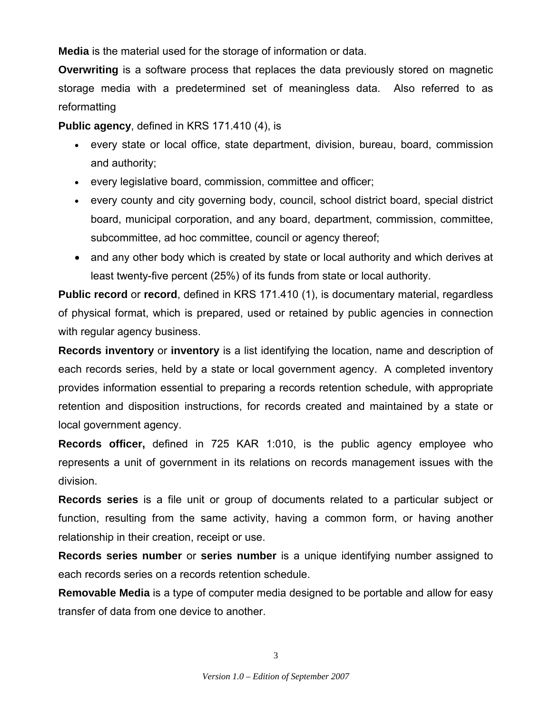**Media** is the material used for the storage of information or data.

**Overwriting** is a software process that replaces the data previously stored on magnetic storage media with a predetermined set of meaningless data. Also referred to as reformatting

**Public agency**, defined in KRS 171.410 (4), is

- every state or local office, state department, division, bureau, board, commission and authority;
- every legislative board, commission, committee and officer;
- every county and city governing body, council, school district board, special district board, municipal corporation, and any board, department, commission, committee, subcommittee, ad hoc committee, council or agency thereof;
- and any other body which is created by state or local authority and which derives at least twenty-five percent (25%) of its funds from state or local authority.

**Public record** or **record**, defined in KRS 171.410 (1), is documentary material, regardless of physical format, which is prepared, used or retained by public agencies in connection with regular agency business.

**Records inventory** or **inventory** is a list identifying the location, name and description of each records series, held by a state or local government agency. A completed inventory provides information essential to preparing a records retention schedule, with appropriate retention and disposition instructions, for records created and maintained by a state or local government agency.

**Records officer,** defined in 725 KAR 1:010, is the public agency employee who represents a unit of government in its relations on records management issues with the division.

**Records series** is a file unit or group of documents related to a particular subject or function, resulting from the same activity, having a common form, or having another relationship in their creation, receipt or use.

**Records series number** or **series number** is a unique identifying number assigned to each records series on a records retention schedule.

**Removable Media** is a type of computer media designed to be portable and allow for easy transfer of data from one device to another.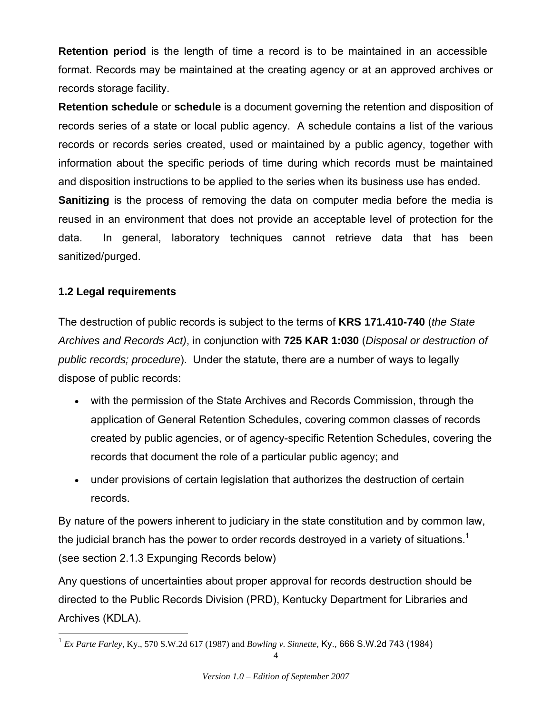**Retention period** is the length of time a record is to be maintained in an accessible format. Records may be maintained at the creating agency or at an approved archives or records storage facility.

**Retention schedule** or **schedule** is a document governing the retention and disposition of records series of a state or local public agency. A schedule contains a list of the various records or records series created, used or maintained by a public agency, together with information about the specific periods of time during which records must be maintained and disposition instructions to be applied to the series when its business use has ended.

**Sanitizing** is the process of removing the data on computer media before the media is reused in an environment that does not provide an acceptable level of protection for the data. In general, laboratory techniques cannot retrieve data that has been sanitized/purged.

# **1.2 Legal requirements**

l

The destruction of public records is subject to the terms of **KRS 171.410-740** (*the State Archives and Records Act)*, in conjunction with **725 KAR 1:030** (*Disposal or destruction of public records; procedure*). Under the statute, there are a number of ways to legally dispose of public records:

- with the permission of the State Archives and Records Commission, through the application of General Retention Schedules, covering common classes of records created by public agencies, or of agency-specific Retention Schedules, covering the records that document the role of a particular public agency; and
- under provisions of certain legislation that authorizes the destruction of certain records.

By nature of the powers inherent to judiciary in the state constitution and by common law, the judicial branch has the power to order records destroyed in a variety of situations.<sup>1</sup> (see section 2.1.3 Expunging Records below)

Any questions of uncertainties about proper approval for records destruction should be directed to the Public Records Division (PRD), Kentucky Department for Libraries and Archives (KDLA).

<sup>1</sup> *Ex Parte Farley,* Ky., 570 S.W.2d 617 (1987) and *Bowling v. Sinnette,* Ky., 666 S.W.2d 743 (1984)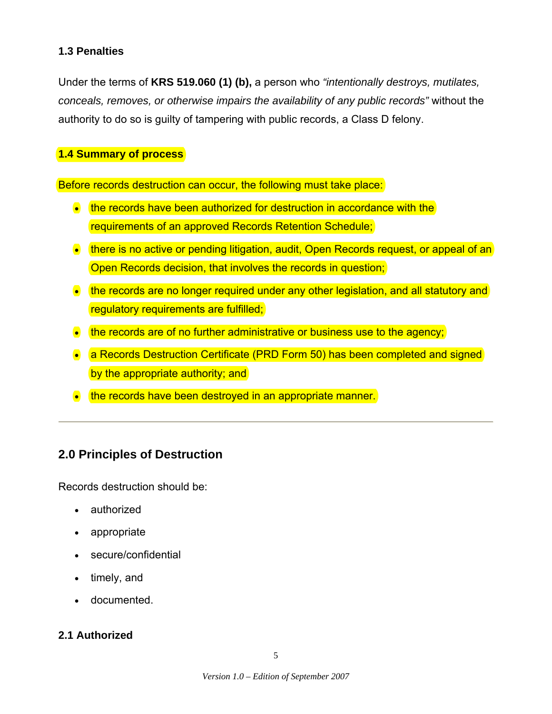## **1.3 Penalties**

Under the terms of **KRS 519.060 (1) (b),** a person who *"intentionally destroys, mutilates, conceals, removes, or otherwise impairs the availability of any public records"* without the authority to do so is guilty of tampering with public records, a Class D felony.

## **1.4 Summary of process**

Before records destruction can occur, the following must take place:

- the records have been authorized for destruction in accordance with the requirements of an approved Records Retention Schedule;
- there is no active or pending litigation, audit, Open Records request, or appeal of an Open Records decision, that involves the records in question;
- the records are no longer required under any other legislation, and all statutory and regulatory requirements are fulfilled;
- $\bullet$  the records are of no further administrative or business use to the agency;
- a Records Destruction Certificate (PRD Form 50) has been completed and signed by the appropriate authority; and
- the records have been destroyed in an appropriate manner.

# **2.0 Principles of Destruction**

Records destruction should be:

- authorized
- appropriate
- secure/confidential
- timely, and
- documented.

# **2.1 Authorized**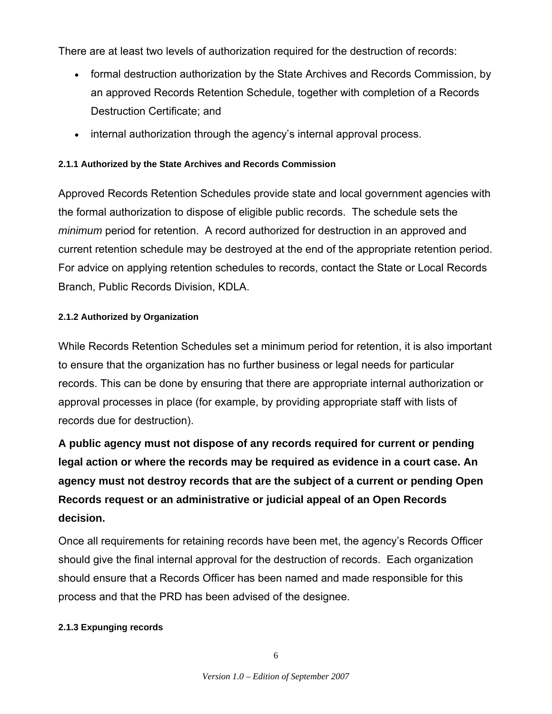There are at least two levels of authorization required for the destruction of records:

- formal destruction authorization by the State Archives and Records Commission, by an approved Records Retention Schedule, together with completion of a Records Destruction Certificate; and
- internal authorization through the agency's internal approval process.

# **2.1.1 Authorized by the State Archives and Records Commission**

Approved Records Retention Schedules provide state and local government agencies with the formal authorization to dispose of eligible public records. The schedule sets the *minimum* period for retention. A record authorized for destruction in an approved and current retention schedule may be destroyed at the end of the appropriate retention period. For advice on applying retention schedules to records, contact the State or Local Records Branch, Public Records Division, KDLA.

### **2.1.2 Authorized by Organization**

While Records Retention Schedules set a minimum period for retention, it is also important to ensure that the organization has no further business or legal needs for particular records. This can be done by ensuring that there are appropriate internal authorization or approval processes in place (for example, by providing appropriate staff with lists of records due for destruction).

**A public agency must not dispose of any records required for current or pending legal action or where the records may be required as evidence in a court case. An agency must not destroy records that are the subject of a current or pending Open Records request or an administrative or judicial appeal of an Open Records decision.** 

Once all requirements for retaining records have been met, the agency's Records Officer should give the final internal approval for the destruction of records. Each organization should ensure that a Records Officer has been named and made responsible for this process and that the PRD has been advised of the designee.

### **2.1.3 Expunging records**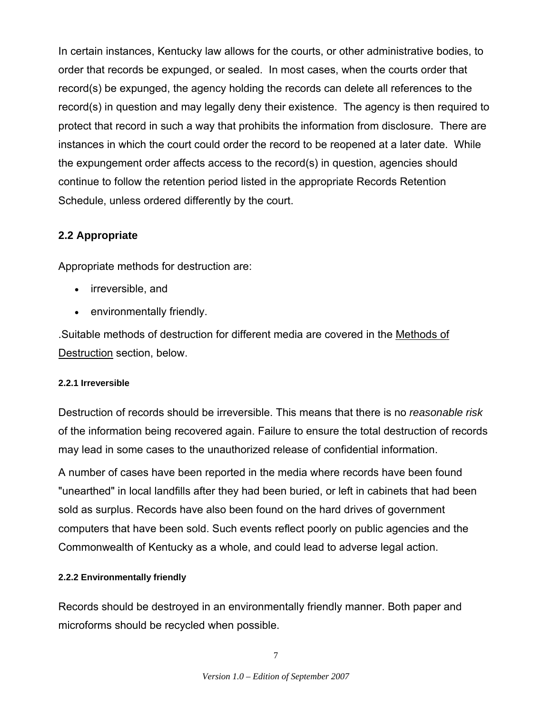In certain instances, Kentucky law allows for the courts, or other administrative bodies, to order that records be expunged, or sealed. In most cases, when the courts order that record(s) be expunged, the agency holding the records can delete all references to the record(s) in question and may legally deny their existence. The agency is then required to protect that record in such a way that prohibits the information from disclosure. There are instances in which the court could order the record to be reopened at a later date. While the expungement order affects access to the record(s) in question, agencies should continue to follow the retention period listed in the appropriate Records Retention Schedule, unless ordered differently by the court.

# **2.2 Appropriate**

Appropriate methods for destruction are:

- irreversible, and
- environmentally friendly.

.Suitable methods of destruction for different media are covered in the Methods of Destruction section, below.

### **2.2.1 Irreversible**

Destruction of records should be irreversible. This means that there is no *reasonable risk* of the information being recovered again. Failure to ensure the total destruction of records may lead in some cases to the unauthorized release of confidential information.

A number of cases have been reported in the media where records have been found "unearthed" in local landfills after they had been buried, or left in cabinets that had been sold as surplus. Records have also been found on the hard drives of government computers that have been sold. Such events reflect poorly on public agencies and the Commonwealth of Kentucky as a whole, and could lead to adverse legal action.

### **2.2.2 Environmentally friendly**

Records should be destroyed in an environmentally friendly manner. Both paper and microforms should be recycled when possible.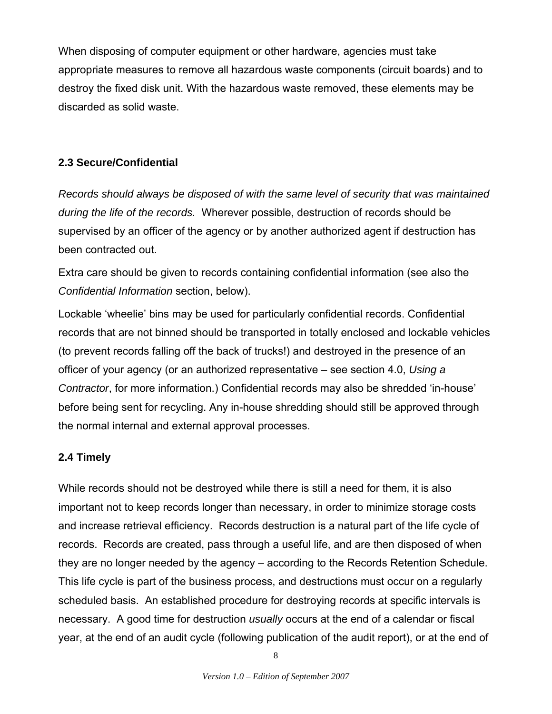When disposing of computer equipment or other hardware, agencies must take appropriate measures to remove all hazardous waste components (circuit boards) and to destroy the fixed disk unit. With the hazardous waste removed, these elements may be discarded as solid waste.

# **2.3 Secure/Confidential**

*Records should always be disposed of with the same level of security that was maintained during the life of the records.* Wherever possible, destruction of records should be supervised by an officer of the agency or by another authorized agent if destruction has been contracted out.

Extra care should be given to records containing confidential information (see also the *Confidential Information* section, below).

Lockable 'wheelie' bins may be used for particularly confidential records. Confidential records that are not binned should be transported in totally enclosed and lockable vehicles (to prevent records falling off the back of trucks!) and destroyed in the presence of an officer of your agency (or an authorized representative – see section 4.0, *Using a Contractor*, for more information.) Confidential records may also be shredded 'in-house' before being sent for recycling. Any in-house shredding should still be approved through the normal internal and external approval processes.

### **2.4 Timely**

While records should not be destroyed while there is still a need for them, it is also important not to keep records longer than necessary, in order to minimize storage costs and increase retrieval efficiency. Records destruction is a natural part of the life cycle of records. Records are created, pass through a useful life, and are then disposed of when they are no longer needed by the agency – according to the Records Retention Schedule. This life cycle is part of the business process, and destructions must occur on a regularly scheduled basis. An established procedure for destroying records at specific intervals is necessary. A good time for destruction *usually* occurs at the end of a calendar or fiscal year, at the end of an audit cycle (following publication of the audit report), or at the end of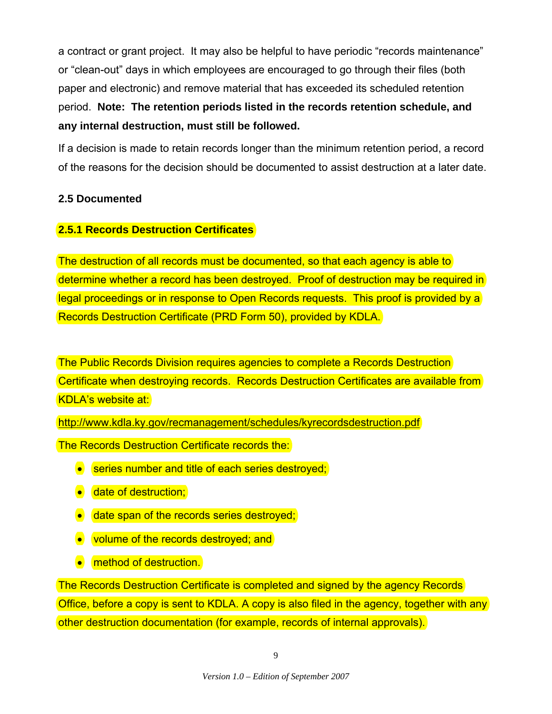a contract or grant project. It may also be helpful to have periodic "records maintenance" or "clean-out" days in which employees are encouraged to go through their files (both paper and electronic) and remove material that has exceeded its scheduled retention period. **Note: The retention periods listed in the records retention schedule, and any internal destruction, must still be followed.**

If a decision is made to retain records longer than the minimum retention period, a record of the reasons for the decision should be documented to assist destruction at a later date.

# **2.5 Documented**

# **2.5.1 Records Destruction Certificates**

The destruction of all records must be documented, so that each agency is able to determine whether a record has been destroyed. Proof of destruction may be required in legal proceedings or in response to Open Records requests. This proof is provided by a Records Destruction Certificate (PRD Form 50), provided by KDLA.

The Public Records Division requires agencies to complete a Records Destruction Certificate when destroying records. Records Destruction Certificates are available from KDLA's website at:

http://www.kdla.ky.gov/recmanagement/schedules/kyrecordsdestruction.pdf

The Records Destruction Certificate records the:

- series number and title of each series destroyed;
- **•** date of destruction;
- date span of the records series destroyed;
- volume of the records destroyed; and
- **•** method of destruction.

The Records Destruction Certificate is completed and signed by the agency Records Office, before a copy is sent to KDLA. A copy is also filed in the agency, together with any other destruction documentation (for example, records of internal approvals).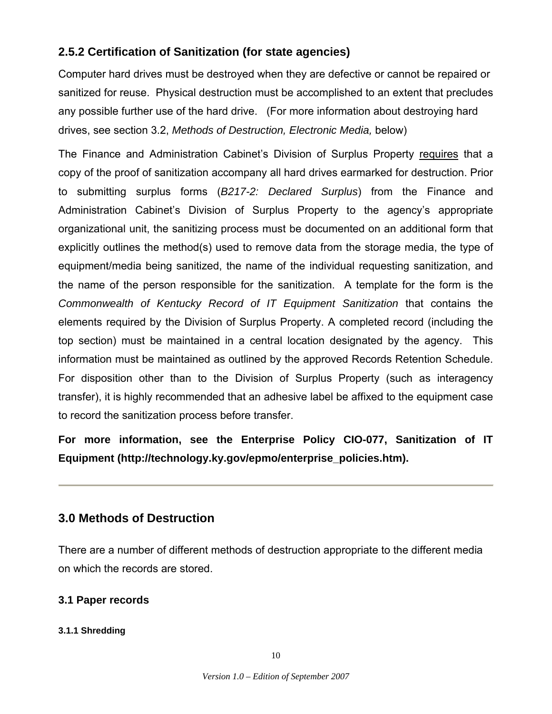# **2.5.2 Certification of Sanitization (for state agencies)**

Computer hard drives must be destroyed when they are defective or cannot be repaired or sanitized for reuse. Physical destruction must be accomplished to an extent that precludes any possible further use of the hard drive. (For more information about destroying hard drives, see section 3.2, *Methods of Destruction, Electronic Media,* below)

The Finance and Administration Cabinet's Division of Surplus Property requires that a copy of the proof of sanitization accompany all hard drives earmarked for destruction. Prior to submitting surplus forms (*B217-2: Declared Surplus*) from the Finance and Administration Cabinet's Division of Surplus Property to the agency's appropriate organizational unit, the sanitizing process must be documented on an additional form that explicitly outlines the method(s) used to remove data from the storage media, the type of equipment/media being sanitized, the name of the individual requesting sanitization, and the name of the person responsible for the sanitization. A template for the form is the *Commonwealth of Kentucky Record of IT Equipment Sanitization* that contains the elements required by the Division of Surplus Property. A completed record (including the top section) must be maintained in a central location designated by the agency. This information must be maintained as outlined by the approved Records Retention Schedule. For disposition other than to the Division of Surplus Property (such as interagency transfer), it is highly recommended that an adhesive label be affixed to the equipment case to record the sanitization process before transfer.

**For more information, see the Enterprise Policy CIO-077, Sanitization of IT Equipment (http://technology.ky.gov/epmo/enterprise\_policies.htm).** 

# **3.0 Methods of Destruction**

There are a number of different methods of destruction appropriate to the different media on which the records are stored.

# **3.1 Paper records**

#### **3.1.1 Shredding**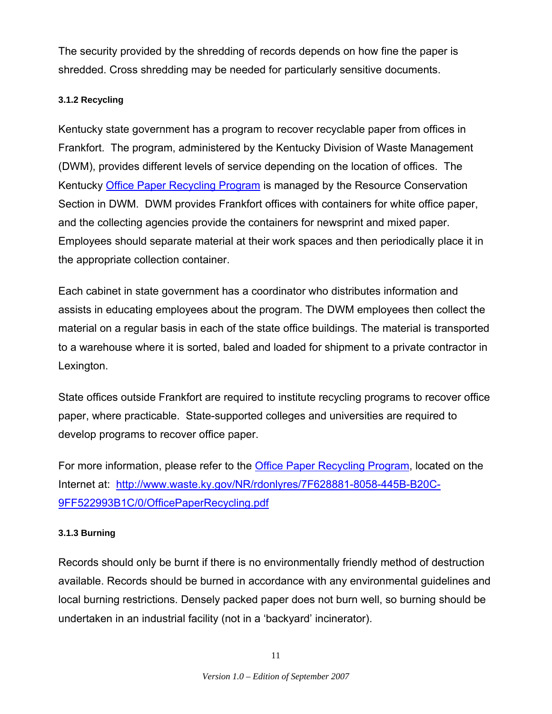The security provided by the shredding of records depends on how fine the paper is shredded. Cross shredding may be needed for particularly sensitive documents.

### **3.1.2 Recycling**

Kentucky state government has a program to recover recyclable paper from offices in Frankfort. The program, administered by the Kentucky Division of Waste Management (DWM), provides different levels of service depending on the location of offices. The Kentucky Office Paper Recycling Program is managed by the Resource Conservation Section in DWM. DWM provides Frankfort offices with containers for white office paper, and the collecting agencies provide the containers for newsprint and mixed paper. Employees should separate material at their work spaces and then periodically place it in the appropriate collection container.

Each cabinet in state government has a coordinator who distributes information and assists in educating employees about the program. The DWM employees then collect the material on a regular basis in each of the state office buildings. The material is transported to a warehouse where it is sorted, baled and loaded for shipment to a private contractor in Lexington.

State offices outside Frankfort are required to institute recycling programs to recover office paper, where practicable. State-supported colleges and universities are required to develop programs to recover office paper.

For more information, please refer to the Office Paper Recycling Program, located on the Internet at: http://www.waste.ky.gov/NR/rdonlyres/7F628881-8058-445B-B20C-9FF522993B1C/0/OfficePaperRecycling.pdf

### **3.1.3 Burning**

Records should only be burnt if there is no environmentally friendly method of destruction available. Records should be burned in accordance with any environmental guidelines and local burning restrictions. Densely packed paper does not burn well, so burning should be undertaken in an industrial facility (not in a 'backyard' incinerator).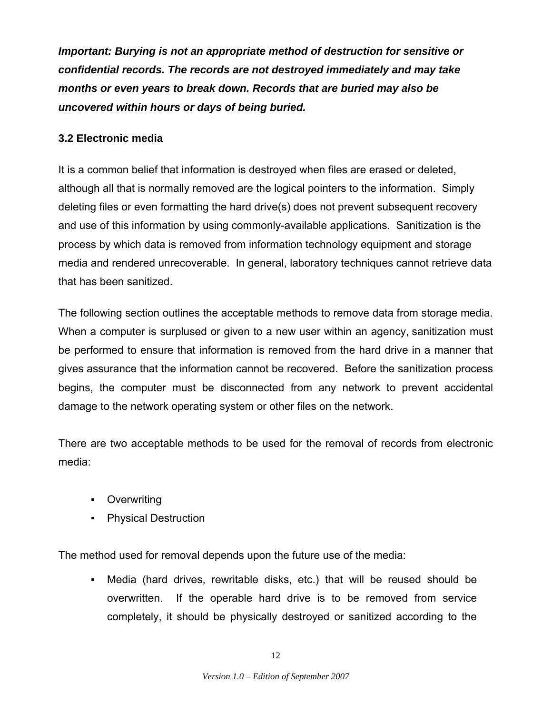*Important: Burying is not an appropriate method of destruction for sensitive or confidential records. The records are not destroyed immediately and may take months or even years to break down. Records that are buried may also be uncovered within hours or days of being buried.*

# **3.2 Electronic media**

It is a common belief that information is destroyed when files are erased or deleted, although all that is normally removed are the logical pointers to the information. Simply deleting files or even formatting the hard drive(s) does not prevent subsequent recovery and use of this information by using commonly-available applications. Sanitization is the process by which data is removed from information technology equipment and storage media and rendered unrecoverable. In general, laboratory techniques cannot retrieve data that has been sanitized.

The following section outlines the acceptable methods to remove data from storage media. When a computer is surplused or given to a new user within an agency, sanitization must be performed to ensure that information is removed from the hard drive in a manner that gives assurance that the information cannot be recovered. Before the sanitization process begins, the computer must be disconnected from any network to prevent accidental damage to the network operating system or other files on the network.

There are two acceptable methods to be used for the removal of records from electronic media:

- Overwriting
- Physical Destruction

The method used for removal depends upon the future use of the media:

▪ Media (hard drives, rewritable disks, etc.) that will be reused should be overwritten. If the operable hard drive is to be removed from service completely, it should be physically destroyed or sanitized according to the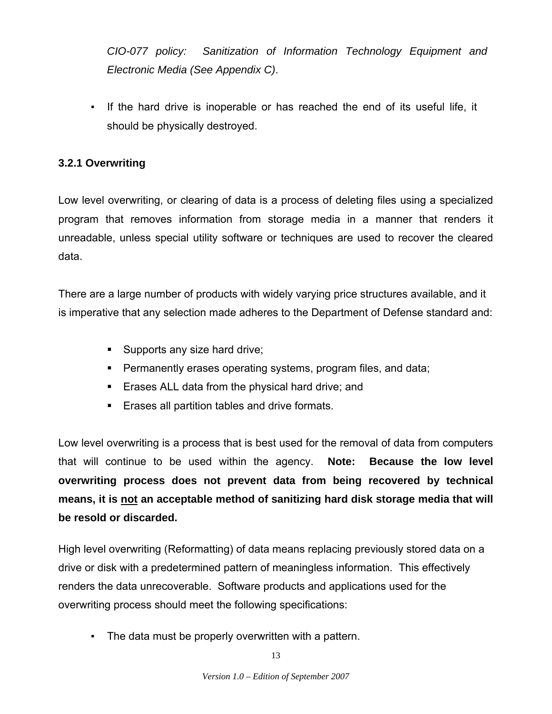*CIO-077 policy: Sanitization of Information Technology Equipment and Electronic Media (See Appendix C)*.

▪ If the hard drive is inoperable or has reached the end of its useful life, it should be physically destroyed.

# **3.2.1 Overwriting**

Low level overwriting, or clearing of data is a process of deleting files using a specialized program that removes information from storage media in a manner that renders it unreadable, unless special utility software or techniques are used to recover the cleared data.

There are a large number of products with widely varying price structures available, and it is imperative that any selection made adheres to the Department of Defense standard and:

- Supports any size hard drive;
- Permanently erases operating systems, program files, and data;
- **Example 3 Figure 1** Erases ALL data from the physical hard drive; and
- **Example 1** Erases all partition tables and drive formats.

Low level overwriting is a process that is best used for the removal of data from computers that will continue to be used within the agency. **Note: Because the low level overwriting process does not prevent data from being recovered by technical means, it is not an acceptable method of sanitizing hard disk storage media that will be resold or discarded.** 

High level overwriting (Reformatting) of data means replacing previously stored data on a drive or disk with a predetermined pattern of meaningless information. This effectively renders the data unrecoverable. Software products and applications used for the overwriting process should meet the following specifications:

▪ The data must be properly overwritten with a pattern.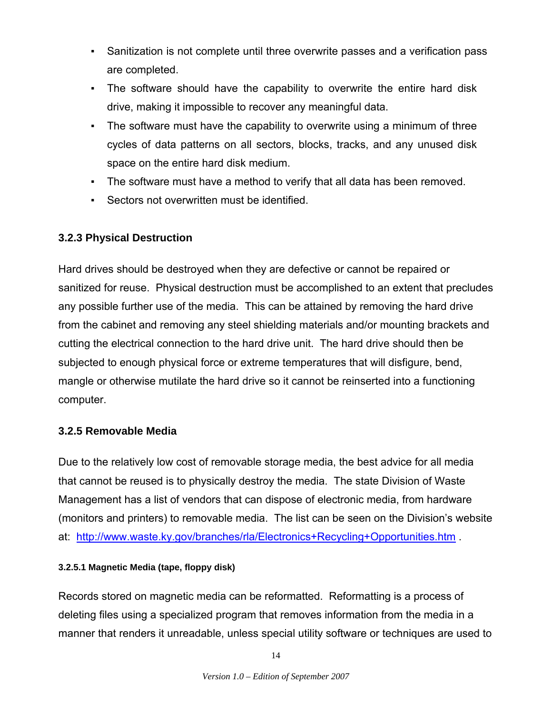- Sanitization is not complete until three overwrite passes and a verification pass are completed.
- The software should have the capability to overwrite the entire hard disk drive, making it impossible to recover any meaningful data.
- The software must have the capability to overwrite using a minimum of three cycles of data patterns on all sectors, blocks, tracks, and any unused disk space on the entire hard disk medium.
- The software must have a method to verify that all data has been removed.
- Sectors not overwritten must be identified.

# **3.2.3 Physical Destruction**

Hard drives should be destroyed when they are defective or cannot be repaired or sanitized for reuse. Physical destruction must be accomplished to an extent that precludes any possible further use of the media. This can be attained by removing the hard drive from the cabinet and removing any steel shielding materials and/or mounting brackets and cutting the electrical connection to the hard drive unit. The hard drive should then be subjected to enough physical force or extreme temperatures that will disfigure, bend, mangle or otherwise mutilate the hard drive so it cannot be reinserted into a functioning computer.

### **3.2.5 Removable Media**

Due to the relatively low cost of removable storage media, the best advice for all media that cannot be reused is to physically destroy the media. The state Division of Waste Management has a list of vendors that can dispose of electronic media, from hardware (monitors and printers) to removable media. The list can be seen on the Division's website at: http://www.waste.ky.gov/branches/rla/Electronics+Recycling+Opportunities.htm .

### **3.2.5.1 Magnetic Media (tape, floppy disk)**

Records stored on magnetic media can be reformatted. Reformatting is a process of deleting files using a specialized program that removes information from the media in a manner that renders it unreadable, unless special utility software or techniques are used to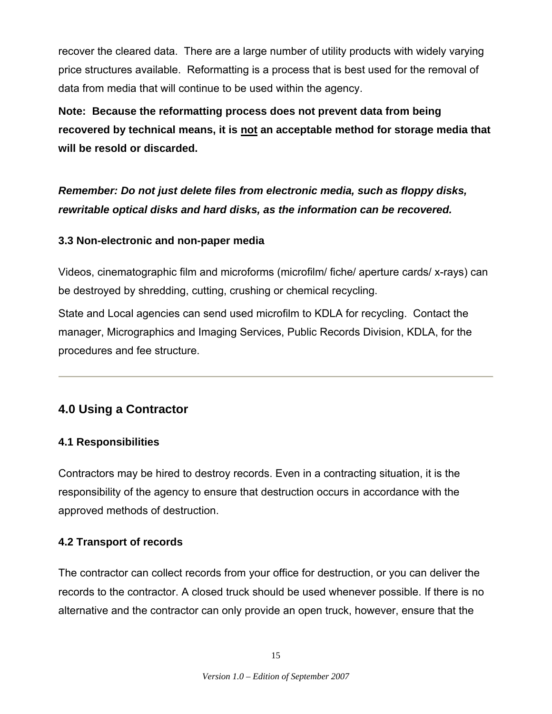recover the cleared data. There are a large number of utility products with widely varying price structures available. Reformatting is a process that is best used for the removal of data from media that will continue to be used within the agency.

**Note: Because the reformatting process does not prevent data from being**  recovered by technical means, it is not an acceptable method for storage media that **will be resold or discarded.**

*Remember: Do not just delete files from electronic media, such as floppy disks, rewritable optical disks and hard disks, as the information can be recovered.*

# **3.3 Non-electronic and non-paper media**

Videos, cinematographic film and microforms (microfilm/ fiche/ aperture cards/ x-rays) can be destroyed by shredding, cutting, crushing or chemical recycling.

State and Local agencies can send used microfilm to KDLA for recycling. Contact the manager, Micrographics and Imaging Services, Public Records Division, KDLA, for the procedures and fee structure.

# **4.0 Using a Contractor**

# **4.1 Responsibilities**

Contractors may be hired to destroy records. Even in a contracting situation, it is the responsibility of the agency to ensure that destruction occurs in accordance with the approved methods of destruction.

# **4.2 Transport of records**

The contractor can collect records from your office for destruction, or you can deliver the records to the contractor. A closed truck should be used whenever possible. If there is no alternative and the contractor can only provide an open truck, however, ensure that the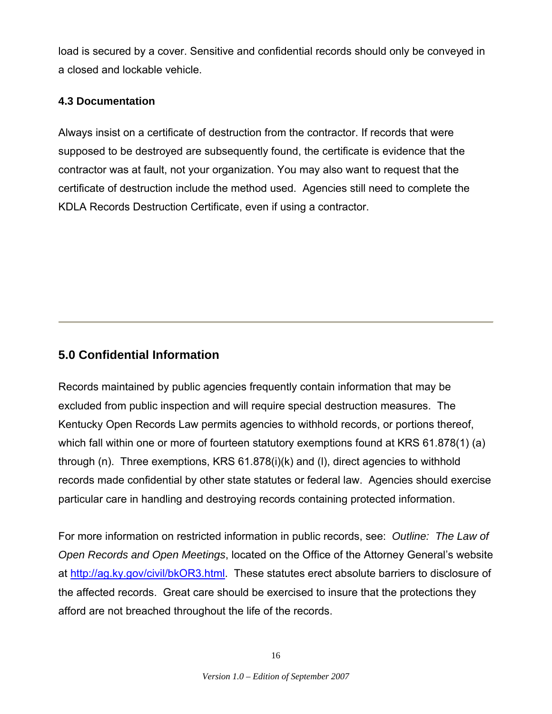load is secured by a cover. Sensitive and confidential records should only be conveyed in a closed and lockable vehicle.

# **4.3 Documentation**

Always insist on a certificate of destruction from the contractor. If records that were supposed to be destroyed are subsequently found, the certificate is evidence that the contractor was at fault, not your organization. You may also want to request that the certificate of destruction include the method used. Agencies still need to complete the KDLA Records Destruction Certificate, even if using a contractor.

# **5.0 Confidential Information**

Records maintained by public agencies frequently contain information that may be excluded from public inspection and will require special destruction measures. The Kentucky Open Records Law permits agencies to withhold records, or portions thereof, which fall within one or more of fourteen statutory exemptions found at KRS 61.878(1) (a) through (n). Three exemptions, KRS 61.878(i)(k) and (l), direct agencies to withhold records made confidential by other state statutes or federal law. Agencies should exercise particular care in handling and destroying records containing protected information.

For more information on restricted information in public records, see: *Outline: The Law of Open Records and Open Meetings*, located on the Office of the Attorney General's website at http://ag.ky.gov/civil/bkOR3.html. These statutes erect absolute barriers to disclosure of the affected records. Great care should be exercised to insure that the protections they afford are not breached throughout the life of the records.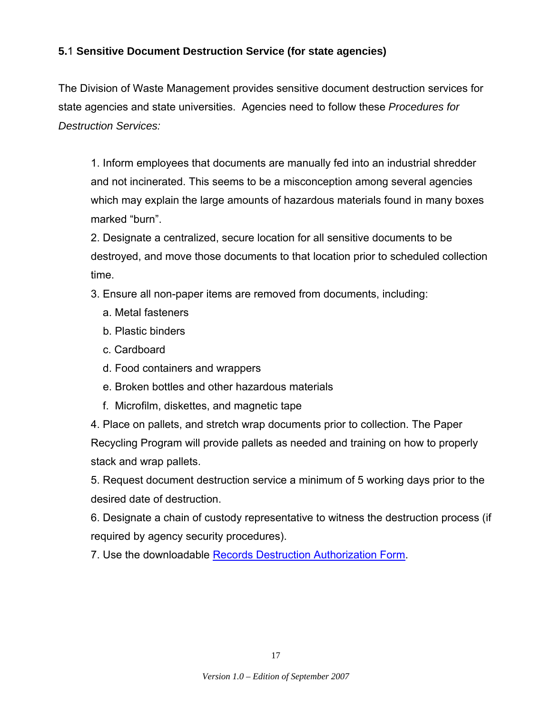# **5.**1 **Sensitive Document Destruction Service (for state agencies)**

The Division of Waste Management provides sensitive document destruction services for state agencies and state universities. Agencies need to follow these *Procedures for Destruction Services:*

1. Inform employees that documents are manually fed into an industrial shredder and not incinerated. This seems to be a misconception among several agencies which may explain the large amounts of hazardous materials found in many boxes marked "burn".

2. Designate a centralized, secure location for all sensitive documents to be destroyed, and move those documents to that location prior to scheduled collection time.

- 3. Ensure all non-paper items are removed from documents, including:
	- a. Metal fasteners
	- b. Plastic binders
	- c. Cardboard
	- d. Food containers and wrappers
	- e. Broken bottles and other hazardous materials
	- f. Microfilm, diskettes, and magnetic tape

4. Place on pallets, and stretch wrap documents prior to collection. The Paper Recycling Program will provide pallets as needed and training on how to properly stack and wrap pallets.

5. Request document destruction service a minimum of 5 working days prior to the desired date of destruction.

6. Designate a chain of custody representative to witness the destruction process (if required by agency security procedures).

7. Use the downloadable Records Destruction Authorization Form.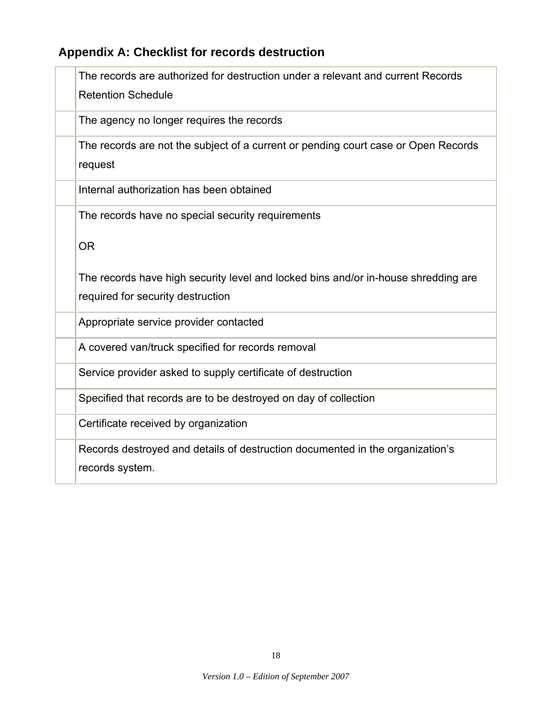# **Appendix A: Checklist for records destruction**

| The records are authorized for destruction under a relevant and current Records<br><b>Retention Schedule</b> |
|--------------------------------------------------------------------------------------------------------------|
| The agency no longer requires the records                                                                    |
| The records are not the subject of a current or pending court case or Open Records<br>request                |
| Internal authorization has been obtained                                                                     |
| The records have no special security requirements                                                            |
| <b>OR</b>                                                                                                    |
| The records have high security level and locked bins and/or in-house shredding are                           |
| required for security destruction                                                                            |
| Appropriate service provider contacted                                                                       |
| A covered van/truck specified for records removal                                                            |
| Service provider asked to supply certificate of destruction                                                  |
| Specified that records are to be destroyed on day of collection                                              |
| Certificate received by organization                                                                         |
| Records destroyed and details of destruction documented in the organization's<br>records system.             |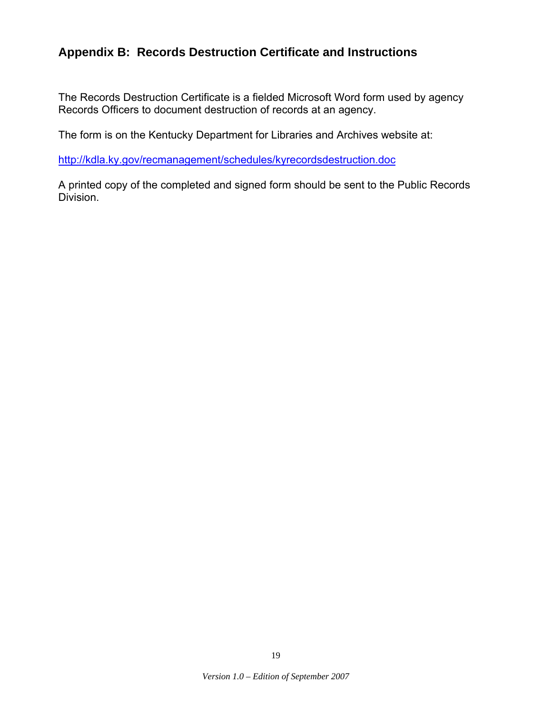# **Appendix B: Records Destruction Certificate and Instructions**

The Records Destruction Certificate is a fielded Microsoft Word form used by agency Records Officers to document destruction of records at an agency.

The form is on the Kentucky Department for Libraries and Archives website at:

http://kdla.ky.gov/recmanagement/schedules/kyrecordsdestruction.doc

A printed copy of the completed and signed form should be sent to the Public Records Division.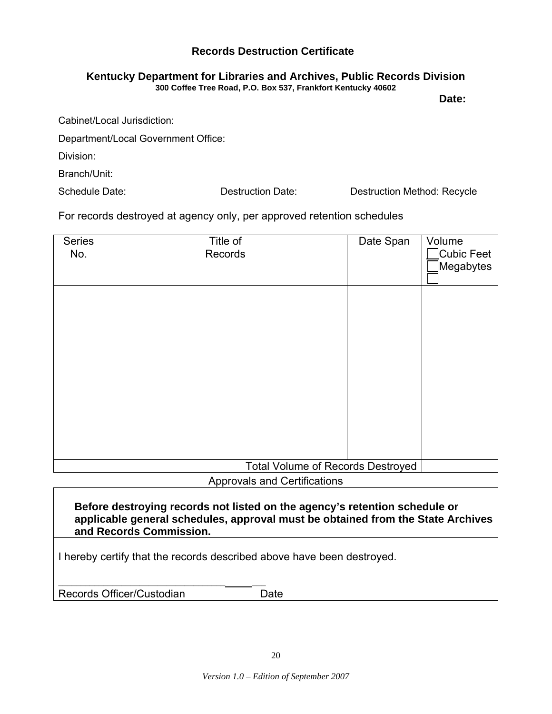## **Records Destruction Certificate**

#### **Kentucky Department for Libraries and Archives, Public Records Division 300 Coffee Tree Road, P.O. Box 537, Frankfort Kentucky 40602**

**Date:** 

Cabinet/Local Jurisdiction:

Department/Local Government Office:

Division:

Branch/Unit:

Schedule Date: The Schedule Date: Destruction Date: Destruction Method: Recycle

For records destroyed at agency only, per approved retention schedules

| <b>Series</b><br>No. | Title of<br>Records | Date Span | Volume<br>Cubic Feet<br>Megabytes |
|----------------------|---------------------|-----------|-----------------------------------|
|                      |                     |           |                                   |
|                      |                     |           |                                   |
|                      |                     |           |                                   |
|                      |                     |           |                                   |
|                      |                     |           |                                   |

Approvals and Certifications

**Before destroying records not listed on the agency's retention schedule or applicable general schedules, approval must be obtained from the State Archives and Records Commission.**

I hereby certify that the records described above have been destroyed.

**\_\_\_\_\_\_\_\_\_\_\_\_\_\_\_\_\_\_\_\_\_\_\_\_\_\_\_\_\_\_\_\_\_\_\_\_\_ \_\_\_**  Records Officer/Custodian Date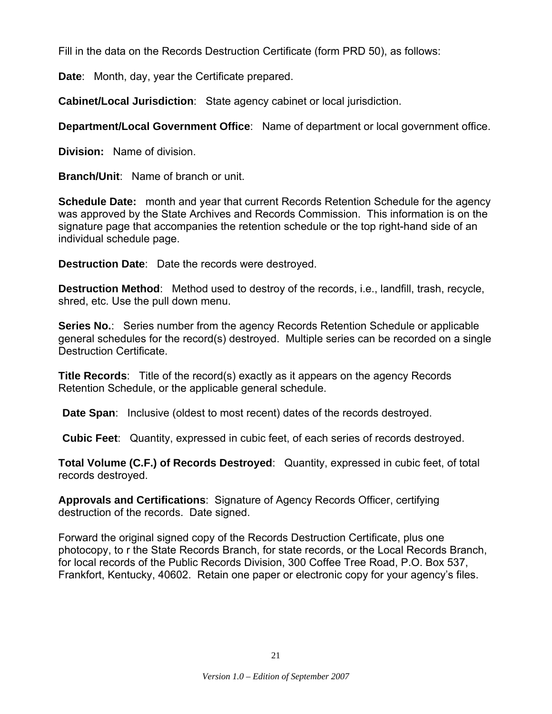Fill in the data on the Records Destruction Certificate (form PRD 50), as follows:

**Date**: Month, day, year the Certificate prepared.

**Cabinet/Local Jurisdiction**: State agency cabinet or local jurisdiction.

**Department/Local Government Office**: Name of department or local government office.

**Division:** Name of division.

**Branch/Unit**: Name of branch or unit.

**Schedule Date:** month and year that current Records Retention Schedule for the agency was approved by the State Archives and Records Commission. This information is on the signature page that accompanies the retention schedule or the top right-hand side of an individual schedule page.

**Destruction Date**: Date the records were destroyed.

**Destruction Method**: Method used to destroy of the records, i.e., landfill, trash, recycle, shred, etc. Use the pull down menu.

**Series No.**: Series number from the agency Records Retention Schedule or applicable general schedules for the record(s) destroyed. Multiple series can be recorded on a single Destruction Certificate.

**Title Records**: Title of the record(s) exactly as it appears on the agency Records Retention Schedule, or the applicable general schedule.

**Date Span**: Inclusive (oldest to most recent) dates of the records destroyed.

**Cubic Feet**: Quantity, expressed in cubic feet, of each series of records destroyed.

**Total Volume (C.F.) of Records Destroyed**: Quantity, expressed in cubic feet, of total records destroyed.

**Approvals and Certifications**: Signature of Agency Records Officer, certifying destruction of the records. Date signed.

Forward the original signed copy of the Records Destruction Certificate, plus one photocopy, to r the State Records Branch, for state records, or the Local Records Branch, for local records of the Public Records Division, 300 Coffee Tree Road, P.O. Box 537, Frankfort, Kentucky, 40602. Retain one paper or electronic copy for your agency's files.